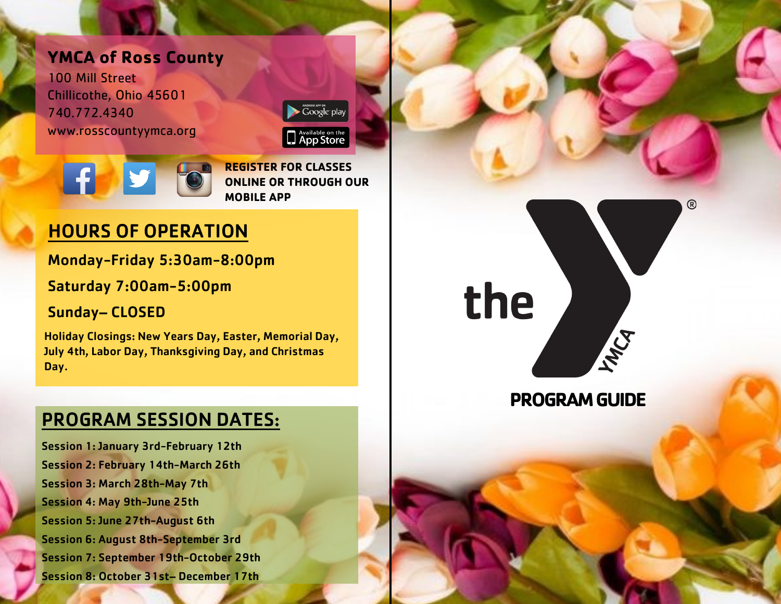### **YMCA of Ross County**

100 Mill Street Chillicothe, Ohio 45601 740.772.4340 www.rosscountyymca.org





**REGISTER FOR CLASSES ONLINE OR THROUGH OUR MOBILE APP**

### HOURS OF OPERATION

Monday-Friday 5:30am-8:00pm

Saturday 7:00am-5:00pm

Sunday– CLOSED

Holiday Closings: New Years Day, Easter, Memorial Day, July 4th, Labor Day, Thanksgiving Day, and Christmas Day.

### PROGRAM SESSION DATES:

Session 1: January 3rd-February 12th Session 2: February 14th-March 26th Session 3: March 28th-May 7th Session 4: May 9th-June 25th Session 5: June 27th-August 6th Session 6: August 8th-September 3rd Session 7: September 19th-October 29th Session 8: October 31st– December 17th



 $^{\circledR}$ 

**PROGRAM GUIDE**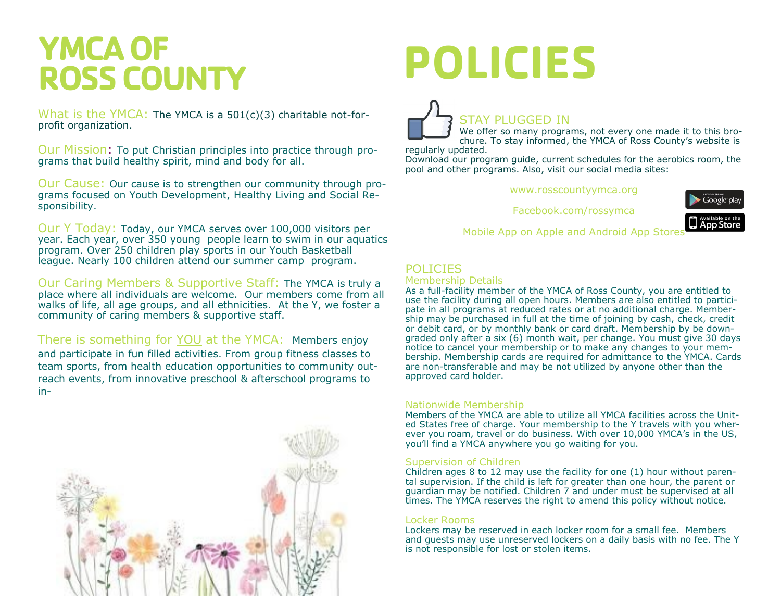### **YMCA OF ROSS COUNTY**

What is the YMCA: The YMCA is a 501(c)(3) charitable not-forprofit organization.

Our Mission: To put Christian principles into practice through programs that build healthy spirit, mind and body for all.

Our Cause: Our cause is to strengthen our community through programs focused on Youth Development, Healthy Living and Social Responsibility.

Our Y Today: Today, our YMCA serves over 100,000 visitors per year. Each year, over 350 young people learn to swim in our aquatics program. Over 250 children play sports in our Youth Basketball league. Nearly 100 children attend our summer camp program.

Our Caring Members & Supportive Staff: The YMCA is truly a place where all individuals are welcome. Our members come from all walks of life, all age groups, and all ethnicities. At the Y, we foster a community of caring members & supportive staff.

There is something for YOU at the YMCA: Members enjoy and participate in fun filled activities. From group fitness classes to team sports, from health education opportunities to community outreach events, from innovative preschool & afterschool programs to in-



# **POLICIES**



chure. To stay informed, the YMCA of Ross County's website is

regularly updated.

Download our program guide, current schedules for the aerobics room, the pool and other programs. Also, visit our social media sites:

www.rosscountyymca.org



Facebook.com/rossymca

Mobile App on Apple and Android App Store

#### POLICIES

#### Membership Details

As a full-facility member of the YMCA of Ross County, you are entitled to use the facility during all open hours. Members are also entitled to participate in all programs at reduced rates or at no additional charge. Membership may be purchased in full at the time of joining by cash, check, credit or debit card, or by monthly bank or card draft. Membership by be downgraded only after a six (6) month wait, per change. You must give 30 days notice to cancel your membership or to make any changes to your membership. Membership cards are required for admittance to the YMCA. Cards are non-transferable and may be not utilized by anyone other than the approved card holder.

#### Nationwide Membership

Members of the YMCA are able to utilize all YMCA facilities across the United States free of charge. Your membership to the Y travels with you wherever you roam, travel or do business. With over 10,000 YMCA's in the US, you'll find a YMCA anywhere you go waiting for you.

#### Supervision of Children

Children ages 8 to 12 may use the facility for one (1) hour without parental supervision. If the child is left for greater than one hour, the parent or guardian may be notified. Children 7 and under must be supervised at all times. The YMCA reserves the right to amend this policy without notice.

#### Locker Rooms

Lockers may be reserved in each locker room for a small fee. Members and guests may use unreserved lockers on a daily basis with no fee. The Y is not responsible for lost or stolen items.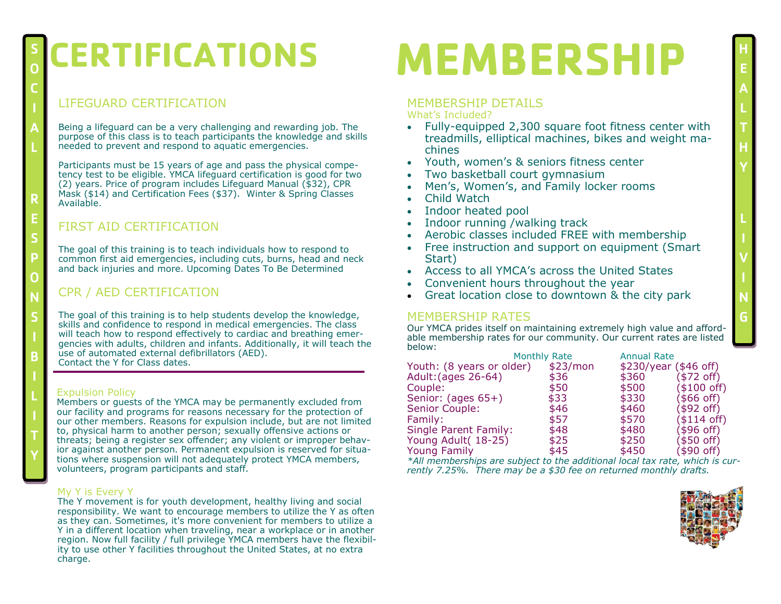### **CERTIFICATIONS**

#### LIFEGUARD CERTIFICATION

Being a lifeguard can be a very challenging and rewarding job. The purpose of this class is to teach participants the knowledge and skills needed to prevent and respond to aquatic emergencies.

Participants must be 15 years of age and pass the physical competency test to be eligible. YMCA lifeguard certification is good for two (2) years. Price of program includes Lifeguard Manual (\$32), CPR Mask (\$14) and Certification Fees (\$37). Winter & Spring Classes Available.

#### FIRST AID CERTIFICATION

The goal of this training is to teach individuals how to respond to common first aid emergencies, including cuts, burns, head and neck and back injuries and more. Upcoming Dates To Be Determined

#### CPR / AED CERTIFICATION

The goal of this training is to help students develop the knowledge, skills and confidence to respond in medical emergencies. The class will teach how to respond effectively to cardiac and breathing emergencies with adults, children and infants. Additionally, it will teach the use of automated external defibrillators (AED). Contact the Y for Class dates.

#### Expulsion Policy

Members or guests of the YMCA may be permanently excluded from our facility and programs for reasons necessary for the protection of our other members. Reasons for expulsion include, but are not limited to, physical harm to another person; sexually offensive actions or threats; being a register sex offender; any violent or improper behavior against another person. Permanent expulsion is reserved for situations where suspension will not adequately protect YMCA members, volunteers, program participants and staff.

#### My Y is Every Y

The Y movement is for youth development, healthy living and social responsibility. We want to encourage members to utilize the Y as often as they can. Sometimes, it's more convenient for members to utilize a Y in a different location when traveling, near a workplace or in another region. Now full facility / full privilege YMCA members have the flexibility to use other Y facilities throughout the United States, at no extra charge.

# **MEMBERSHIP**

### MEMBERSHIP DETAILS

#### What's Included?

- Fully-equipped 2,300 square foot fitness center with treadmills, elliptical machines, bikes and weight machines
- Youth, women's & seniors fitness center
- Two basketball court gymnasium
- Men's, Women's, and Family locker rooms
- Child Watch
- Indoor heated pool
- Indoor running /walking track
- Aerobic classes included FREE with membership
- Free instruction and support on equipment (Smart Start)
- Access to all YMCA's across the United States
- Convenient hours throughout the year
- Great location close to downtown & the city park

#### MEMBERSHIP RATES

Our YMCA prides itself on maintaining extremely high value and affordable membership rates for our community. Our current rates are listed below:

|                              | <b>Monthly Rate</b> |                       |                     |
|------------------------------|---------------------|-----------------------|---------------------|
| Youth: (8 years or older)    | \$23/mon            | \$230/year (\$46 off) |                     |
| Adult: (ages 26-64)          | \$36                | \$360                 | $($72 \text{ off})$ |
| Couple:                      | \$50                | \$500                 | (\$100 off)         |
| Senior: (ages $65+$ )        | \$33                | \$330                 | (\$66 of f)         |
| <b>Senior Couple:</b>        | \$46                | \$460                 | $($92 \text{ off})$ |
| Family:                      | \$57                | \$570                 | $($ \$114 off)      |
| <b>Single Parent Family:</b> | \$48                | \$480                 | (\$96 of f)         |
| Young Adult (18-25)          | \$25                | \$250                 | $($50 \text{ off})$ |
| <b>Young Family</b>          | \$45                | \$450                 | (\$90 of f)         |

*\*All memberships are subject to the additional local tax rate, which is currently 7.25%. There may be a \$30 fee on returned monthly drafts.*

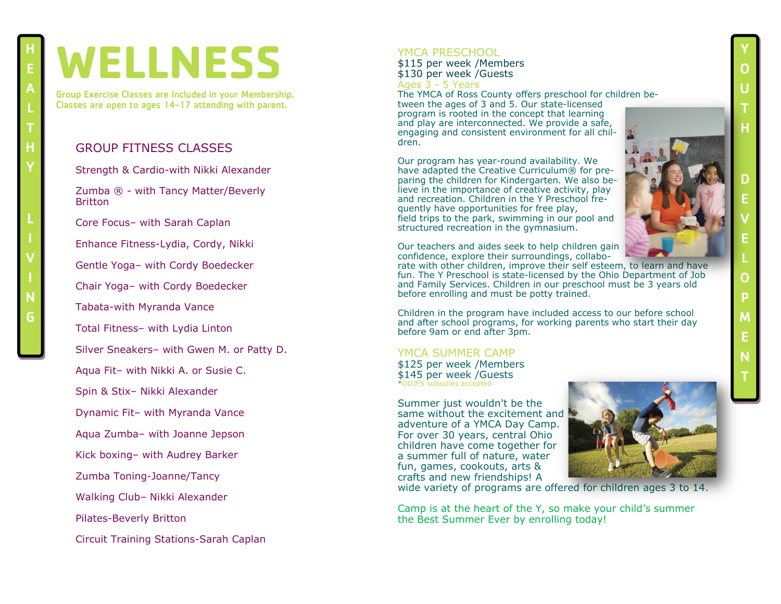### **WELLNESS**

Group Exercise Classes are Included in your Membership. Classes are open to ages 14-17 attending with parent.

#### GROUP FITNESS CLASSES

Strength & Cardio-with Nikki Alexander

Zumba ® - with Tancy Matter/Beverly Britton

Core Focus– with Sarah Caplan

Enhance Fitness-Lydia, Cordy, Nikki

Gentle Yoga– with Cordy Boedecker

Chair Yoga– with Cordy Boedecker

Tabata-with Myranda Vance

Total Fitness– with Lydia Linton

Silver Sneakers– with Gwen M. or Patty D.

Aqua Fit– with Nikki A. or Susie C.

Spin & Stix– Nikki Alexander

Dynamic Fit– with Myranda Vance

Aqua Zumba– with Joanne Jepson

Kick boxing– with Audrey Barker

Zumba Toning-Joanne/Tancy

Walking Club– Nikki Alexander

Pilates-Beverly Britton

Circuit Training Stations-Sarah Caplan

#### YMCA PRESCHOOL

#### \$115 per week /Members \$130 per week /Guests Ages 3 - 5 Years

The YMCA of Ross County offers preschool for children between the ages of 3 and 5. Our state-licensed program is rooted in the concept that learning and play are interconnected. We provide a safe, engaging and consistent environment for all children.

Our program has year-round availability. We have adapted the Creative Curriculum® for preparing the children for Kindergarten. We also believe in the importance of creative activity, play and recreation. Children in the Y Preschool frequently have opportunities for free play, field trips to the park, swimming in our pool and structured recreation in the gymnasium.

Our teachers and aides seek to help children gain confidence, explore their surroundings, collabo-

rate with other children, improve their self esteem, to learn and have fun. The Y Preschool is state-licensed by the Ohio Department of Job and Family Services. Children in our preschool must be 3 years old before enrolling and must be potty trained.

Children in the program have included access to our before school and after school programs, for working parents who start their day before 9am or end after 3pm.

#### YMCA SUMMER CAMP

\$125 per week /Members \$145 per week /Guests \*ODJFS subsidies accepted

Summer just wouldn't be the same without the excitement and adventure of a YMCA Day Camp. For over 30 years, central Ohio children have come together for a summer full of nature, water fun, games, cookouts, arts & crafts and new friendships! A



wide variety of programs are offered for children ages 3 to 14.

Camp is at the heart of the Y, so make your child's summer the Best Summer Ever by enrolling today!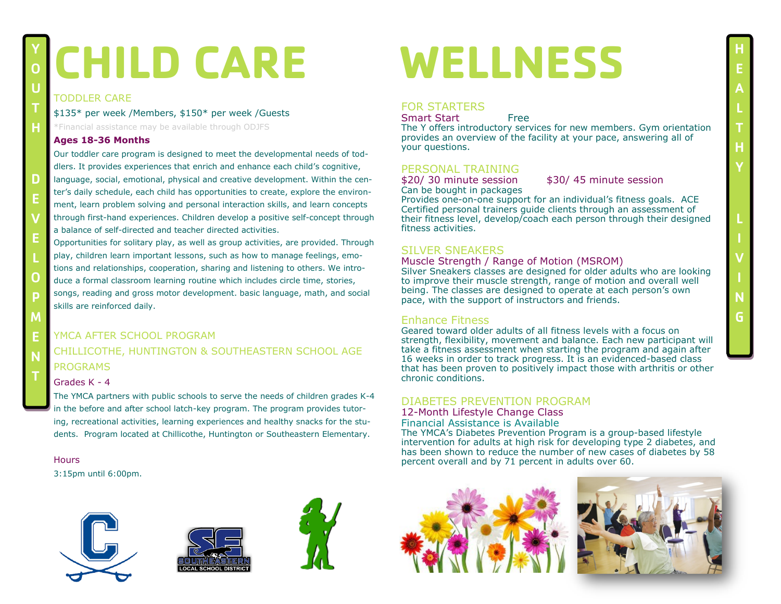# **CHILD CARE**

TODDLER CARE

n

\$135\* per week /Members, \$150\* per week /Guests

\*Financial assistance may be available through ODJFS

#### **Ages 18-36 Months**

Our toddler care program is designed to meet the developmental needs of toddlers. It provides experiences that enrich and enhance each child's cognitive, language, social, emotional, physical and creative development. Within the center's daily schedule, each child has opportunities to create, explore the environment, learn problem solving and personal interaction skills, and learn concepts through first-hand experiences. Children develop a positive self-concept through a balance of self-directed and teacher directed activities.

Opportunities for solitary play, as well as group activities, are provided. Through play, children learn important lessons, such as how to manage feelings, emotions and relationships, cooperation, sharing and listening to others. We introduce a formal classroom learning routine which includes circle time, stories,

songs, reading and gross motor development. basic language, math, and social skills are reinforced daily.

#### YMCA AFTER SCHOOL PROGRAM CHILLICOTHE, HUNTINGTON & SOUTHEASTERN SCHOOL AGE PROGRAMS

#### Grades K - 4

The YMCA partners with public schools to serve the needs of children grades K-4 in the before and after school latch-key program. The program provides tutoring, recreational activities, learning experiences and healthy snacks for the students. Program located at Chillicothe, Huntington or Southeastern Elementary.

#### **Hours**

3:15pm until 6:00pm.







#### FOR STARTERS

Smart Start Free

The Y offers introductory services for new members. Gym orientation provides an overview of the facility at your pace, answering all of your questions.

#### PERSONAL TRAINING

Can be bought in packages

\$20/30 minute session \$30/45 minute session

Provides one-on-one support for an individual's fitness goals. ACE Certified personal trainers guide clients through an assessment of their fitness level, develop/coach each person through their designed fitness activities.

#### SILVER SNEAKERS

#### Muscle Strength / Range of Motion (MSROM)

Silver Sneakers classes are designed for older adults who are looking to improve their muscle strength, range of motion and overall well being. The classes are designed to operate at each person's own pace, with the support of instructors and friends.

#### Enhance Fitness

Geared toward older adults of all fitness levels with a focus on strength, flexibility, movement and balance. Each new participant will take a fitness assessment when starting the program and again after 16 weeks in order to track progress. It is an evidenced-based class that has been proven to positively impact those with arthritis or other chronic conditions.

#### DIABETES PREVENTION PROGRAM

12-Month Lifestyle Change Class Financial Assistance is Available

The YMCA's Diabetes Prevention Program is a group-based lifestyle intervention for adults at high risk for developing type 2 diabetes, and has been shown to reduce the number of new cases of diabetes by 58 percent overall and by 71 percent in adults over 60.



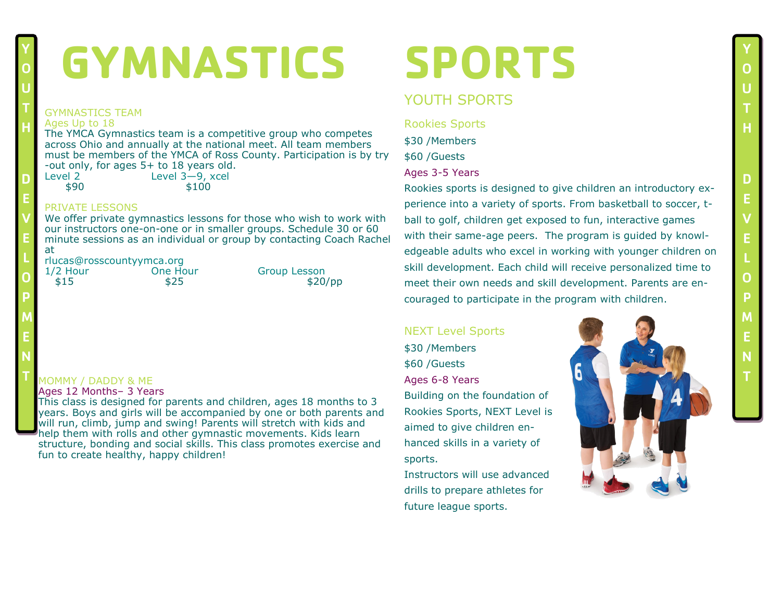# **GYMNASTICS SPORTS**

#### GYMNASTICS TEAM

#### Ages Up to 18

The YMCA Gymnastics team is a competitive group who competes across Ohio and annually at the national meet. All team members must be members of the YMCA of Ross County. Participation is by try -out only, for ages 5+ to 18 years old. Level 2 Level 3-9, xcel<br>\$90 \$100

 $$100$ 

#### PRIVATE LESSONS

We offer private gymnastics lessons for those who wish to work with our instructors one-on-one or in smaller groups. Schedule 30 or 60 minute sessions as an individual or group by contacting Coach Rachel at

rlucas@rosscountyymca.org<br>1/2 Hour One Ho

**One Hour Group Lesson**  $$15$   $$25$   $$20(pp)$ 

#### MOMMY / DADDY & ME

#### Ages 12 Months– 3 Years

This class is designed for parents and children, ages 18 months to 3 years. Boys and girls will be accompanied by one or both parents and will run, climb, jump and swing! Parents will stretch with kids and help them with rolls and other gymnastic movements. Kids learn structure, bonding and social skills. This class promotes exercise and fun to create healthy, happy children!

### YOUTH SPORTS

Rookies Sports

\$30 /Members

\$60 /Guests

#### Ages 3-5 Years

Rookies sports is designed to give children an introductory experience into a variety of sports. From basketball to soccer, tball to golf, children get exposed to fun, interactive games with their same-age peers. The program is guided by knowledgeable adults who excel in working with younger children on skill development. Each child will receive personalized time to meet their own needs and skill development. Parents are encouraged to participate in the program with children.

#### NEXT Level Sports

\$30 /Members

\$60 /Guests

Ages 6-8 Years

Building on the foundation of Rookies Sports, NEXT Level is aimed to give children enhanced skills in a variety of sports.

Instructors will use advanced drills to prepare athletes for future league sports.

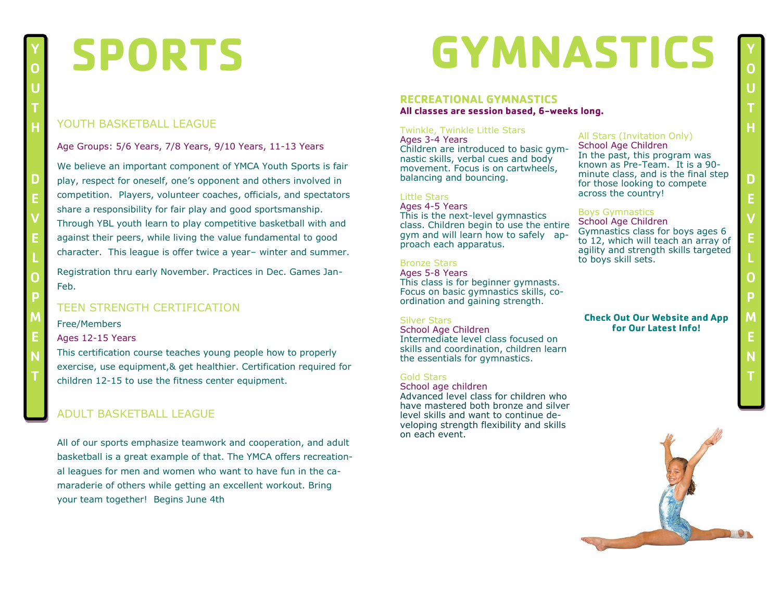# **SPORTS**

#### YOUTH BASKETBALL LEAGUE

Age Groups: 5/6 Years, 7/8 Years, 9/10 Years, 11-13 Years

We believe an important component of YMCA Youth Sports is fair play, respect for oneself, one's opponent and others involved in competition. Players, volunteer coaches, officials, and spectators share a responsibility for fair play and good sportsmanship. Through YBL youth learn to play competitive basketball with and against their peers, while living the value fundamental to good character. This league is offer twice a year– winter and summer.

Registration thru early November. Practices in Dec. Games Jan-Feb.

#### TEEN STRENGTH CERTIFICATION

Free/Members

#### Ages 12-15 Years

This certification course teaches young people how to properly exercise, use equipment,& get healthier. Certification required for children 12-15 to use the fitness center equipment.

#### ADULT BASKETBALL LEAGUE

All of our sports emphasize teamwork and cooperation, and adult basketball is a great example of that. The YMCA offers recreational leagues for men and women who want to have fun in the camaraderie of others while getting an excellent workout. Bring your team together! Begins June 4th

# **GYMNASTICS**

#### **RECREATIONAL GYMNASTICS All classes are session based, 6-weeks long.**

#### Twinkle, Twinkle Little Stars

Ages 3-4 Years Children are introduced to basic gymnastic skills, verbal cues and body movement. Focus is on cartwheels, balancing and bouncing.

#### Little Stars

Ages 4-5 Years This is the next-level gymnastics class. Children begin to use the entire gym and will learn how to safely approach each apparatus.

#### Bronze Stars

Ages 5-8 Years This class is for beginner gymnasts. Focus on basic gymnastics skills, coordination and gaining strength.

#### Silver Stars

School Age Children Intermediate level class focused on skills and coordination, children learn the essentials for gymnastics.

#### Gold Stars

School age children Advanced level class for children who have mastered both bronze and silver level skills and want to continue developing strength flexibility and skills on each event.

#### All Stars (Invitation Only) School Age Children

In the past, this program was known as Pre-Team. It is a 90 minute class, and is the final step for those looking to compete across the country!

#### Boys Gymnastics

School Age Children Gymnastics class for boys ages 6 to 12, which will teach an array of agility and strength skills targeted to boys skill sets.

#### **Check Out Our Website and App for Our Latest Info!**